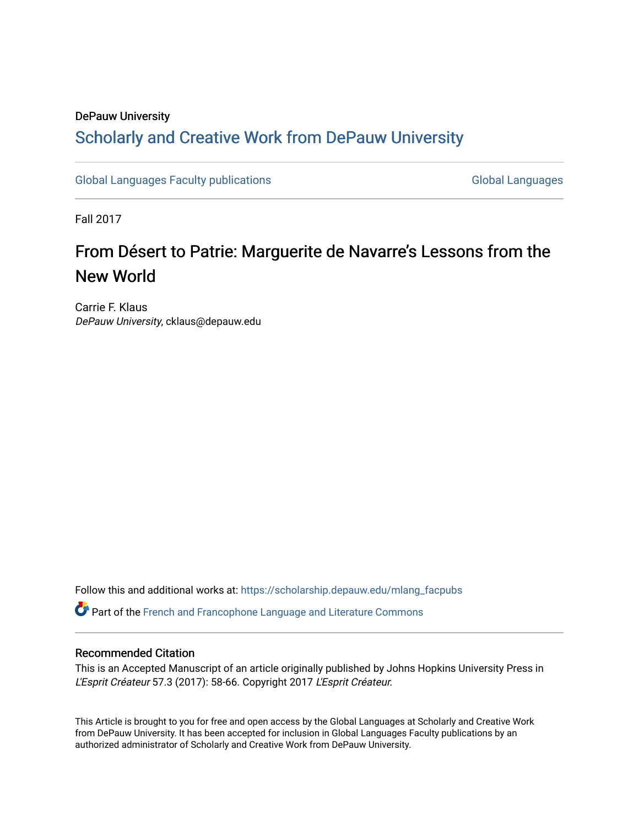# DePauw University Scholarly and [Creative Work from DePauw Univ](https://scholarship.depauw.edu/)ersity

[Global Languages Faculty publications](https://scholarship.depauw.edu/mlang_facpubs) [Global Languages](https://scholarship.depauw.edu/modernlanguages) Global Languages

Fall 2017

# From Désert to Patrie: Marguerite de Navarre's Lessons from the New World

Carrie F. Klaus DePauw University, cklaus@depauw.edu

Follow this and additional works at: [https://scholarship.depauw.edu/mlang\\_facpubs](https://scholarship.depauw.edu/mlang_facpubs?utm_source=scholarship.depauw.edu%2Fmlang_facpubs%2F78&utm_medium=PDF&utm_campaign=PDFCoverPages)

Part of the [French and Francophone Language and Literature Commons](https://network.bepress.com/hgg/discipline/463?utm_source=scholarship.depauw.edu%2Fmlang_facpubs%2F78&utm_medium=PDF&utm_campaign=PDFCoverPages) 

#### Recommended Citation

This is an Accepted Manuscript of an article originally published by Johns Hopkins University Press in L'Esprit Créateur 57.3 (2017): 58-66. Copyright 2017 L'Esprit Créateur.

This Article is brought to you for free and open access by the Global Languages at Scholarly and Creative Work from DePauw University. It has been accepted for inclusion in Global Languages Faculty publications by an authorized administrator of Scholarly and Creative Work from DePauw University.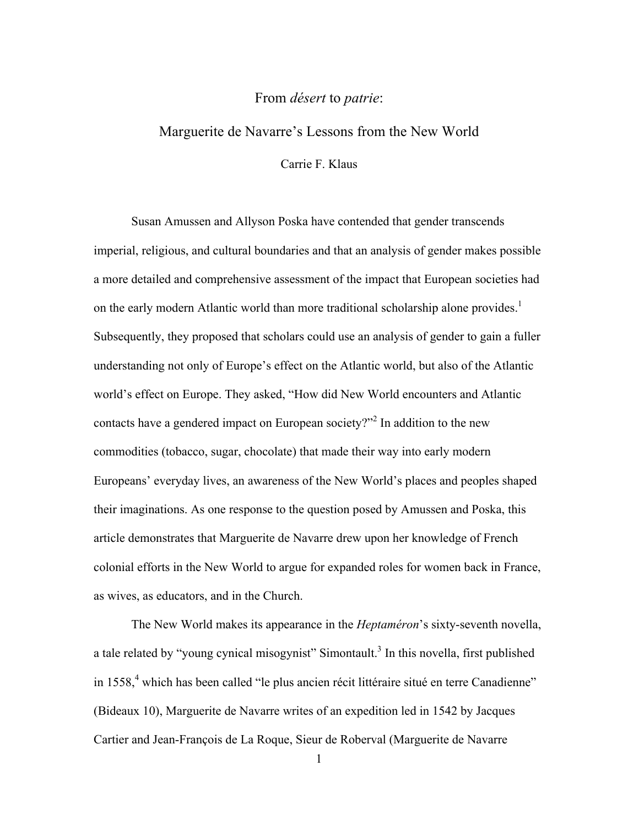## From *désert* to *patrie*:

### Marguerite de Navarre's Lessons from the New World

Carrie F. Klaus

Susan Amussen and Allyson Poska have contended that gender transcends imperial, religious, and cultural boundaries and that an analysis of gender makes possible a more detailed and comprehensive assessment of the impact that European societies had on the early modern Atlantic world than more traditional scholarship alone provides.<sup>1</sup> Subsequently, they proposed that scholars could use an analysis of gender to gain a fuller understanding not only of Europe's effect on the Atlantic world, but also of the Atlantic world's effect on Europe. They asked, "How did New World encounters and Atlantic contacts have a gendered impact on European society? $n^2$  In addition to the new commodities (tobacco, sugar, chocolate) that made their way into early modern Europeans' everyday lives, an awareness of the New World's places and peoples shaped their imaginations. As one response to the question posed by Amussen and Poska, this article demonstrates that Marguerite de Navarre drew upon her knowledge of French colonial efforts in the New World to argue for expanded roles for women back in France, as wives, as educators, and in the Church.

The New World makes its appearance in the *Heptaméron*'s sixty-seventh novella, a tale related by "young cynical misogynist" Simontault.<sup>3</sup> In this novella, first published in 1558.<sup>4</sup> which has been called "le plus ancien récit littéraire situé en terre Canadienne" (Bideaux 10), Marguerite de Navarre writes of an expedition led in 1542 by Jacques Cartier and Jean-François de La Roque, Sieur de Roberval (Marguerite de Navarre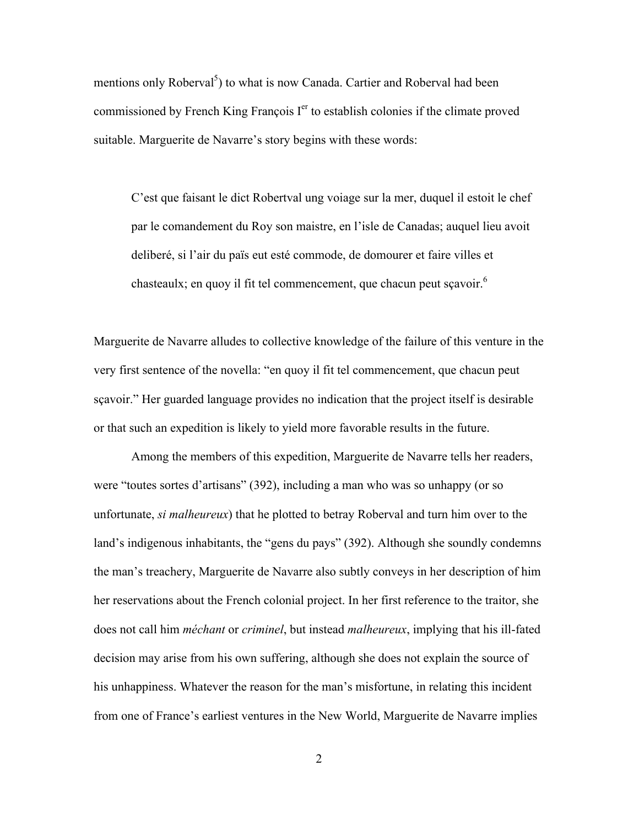mentions only Roberval<sup>5</sup>) to what is now Canada. Cartier and Roberval had been commissioned by French King François I<sup>er</sup> to establish colonies if the climate proved suitable. Marguerite de Navarre's story begins with these words:

C'est que faisant le dict Robertval ung voiage sur la mer, duquel il estoit le chef par le comandement du Roy son maistre, en l'isle de Canadas; auquel lieu avoit deliberé, si l'air du païs eut esté commode, de domourer et faire villes et chasteaulx; en quoy il fit tel commencement, que chacun peut scavoir.<sup>6</sup>

Marguerite de Navarre alludes to collective knowledge of the failure of this venture in the very first sentence of the novella: "en quoy il fit tel commencement, que chacun peut sçavoir." Her guarded language provides no indication that the project itself is desirable or that such an expedition is likely to yield more favorable results in the future.

Among the members of this expedition, Marguerite de Navarre tells her readers, were "toutes sortes d'artisans" (392), including a man who was so unhappy (or so unfortunate, *si malheureux*) that he plotted to betray Roberval and turn him over to the land's indigenous inhabitants, the "gens du pays" (392). Although she soundly condemns the man's treachery, Marguerite de Navarre also subtly conveys in her description of him her reservations about the French colonial project. In her first reference to the traitor, she does not call him *méchant* or *criminel*, but instead *malheureux*, implying that his ill-fated decision may arise from his own suffering, although she does not explain the source of his unhappiness. Whatever the reason for the man's misfortune, in relating this incident from one of France's earliest ventures in the New World, Marguerite de Navarre implies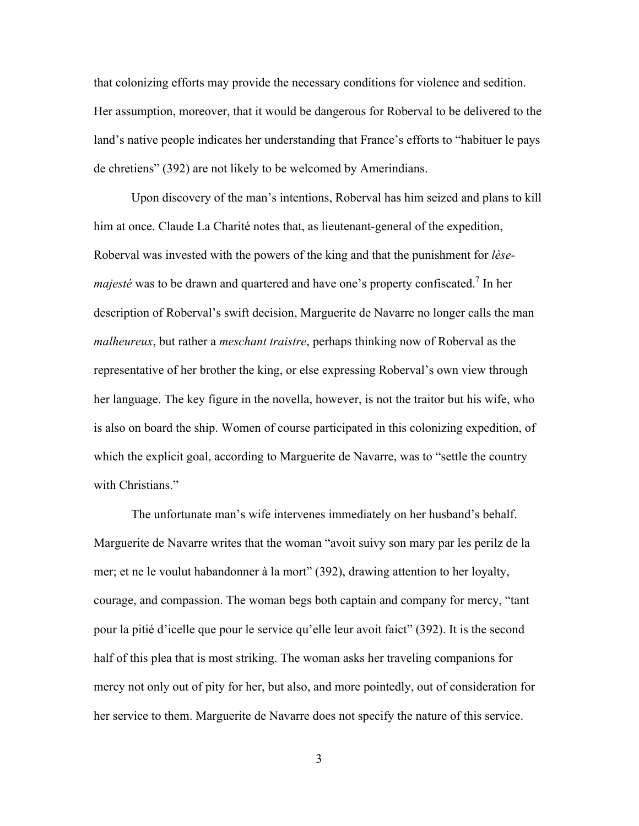that colonizing efforts may provide the necessary conditions for violence and sedition. Her assumption, moreover, that it would be dangerous for Roberval to be delivered to the land's native people indicates her understanding that France's efforts to "habituer le pays de chretiens" (392) are not likely to be welcomed by Amerindians.

Upon discovery of the man's intentions, Roberval has him seized and plans to kill him at once. Claude La Charité notes that, as lieutenant-general of the expedition, Roberval was invested with the powers of the king and that the punishment for *lèsemajesté* was to be drawn and quartered and have one's property confiscated.<sup>7</sup> In her description of Roberval's swift decision, Marguerite de Navarre no longer calls the man *malheureux*, but rather a *meschant traistre*, perhaps thinking now of Roberval as the representative of her brother the king, or else expressing Roberval's own view through her language. The key figure in the novella, however, is not the traitor but his wife, who is also on board the ship. Women of course participated in this colonizing expedition, of which the explicit goal, according to Marguerite de Navarre, was to "settle the country with Christians."

The unfortunate man's wife intervenes immediately on her husband's behalf. Marguerite de Navarre writes that the woman "avoit suivy son mary par les perilz de la mer; et ne le voulut habandonner à la mort" (392), drawing attention to her loyalty, courage, and compassion. The woman begs both captain and company for mercy, "tant pour la pitié d'icelle que pour le service qu'elle leur avoit faict" (392). It is the second half of this plea that is most striking. The woman asks her traveling companions for mercy not only out of pity for her, but also, and more pointedly, out of consideration for her service to them. Marguerite de Navarre does not specify the nature of this service.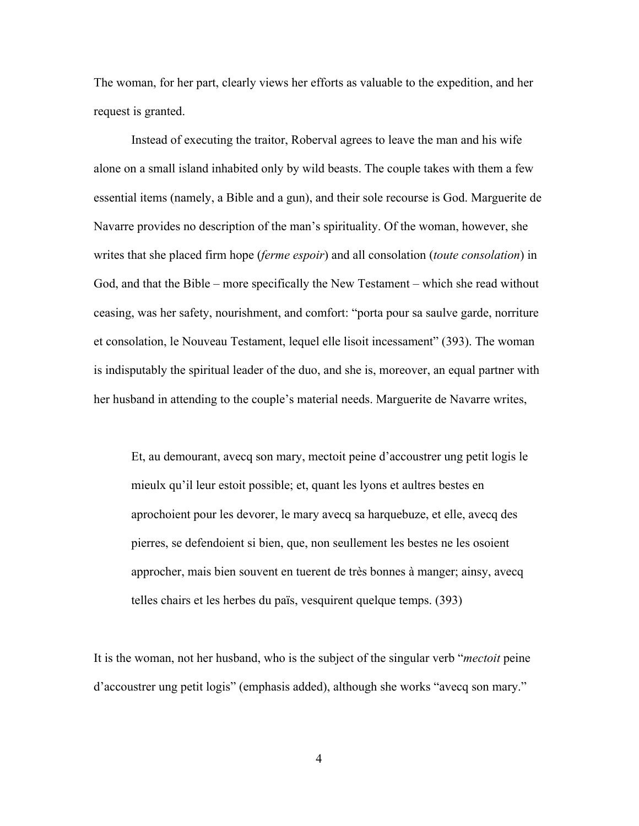The woman, for her part, clearly views her efforts as valuable to the expedition, and her request is granted.

Instead of executing the traitor, Roberval agrees to leave the man and his wife alone on a small island inhabited only by wild beasts. The couple takes with them a few essential items (namely, a Bible and a gun), and their sole recourse is God. Marguerite de Navarre provides no description of the man's spirituality. Of the woman, however, she writes that she placed firm hope (*ferme espoir*) and all consolation (*toute consolation*) in God, and that the Bible – more specifically the New Testament – which she read without ceasing, was her safety, nourishment, and comfort: "porta pour sa saulve garde, norriture et consolation, le Nouveau Testament, lequel elle lisoit incessament" (393). The woman is indisputably the spiritual leader of the duo, and she is, moreover, an equal partner with her husband in attending to the couple's material needs. Marguerite de Navarre writes,

Et, au demourant, avecq son mary, mectoit peine d'accoustrer ung petit logis le mieulx qu'il leur estoit possible; et, quant les lyons et aultres bestes en aprochoient pour les devorer, le mary avecq sa harquebuze, et elle, avecq des pierres, se defendoient si bien, que, non seullement les bestes ne les osoient approcher, mais bien souvent en tuerent de très bonnes à manger; ainsy, avecq telles chairs et les herbes du païs, vesquirent quelque temps. (393)

It is the woman, not her husband, who is the subject of the singular verb "*mectoit* peine d'accoustrer ung petit logis" (emphasis added), although she works "avecq son mary."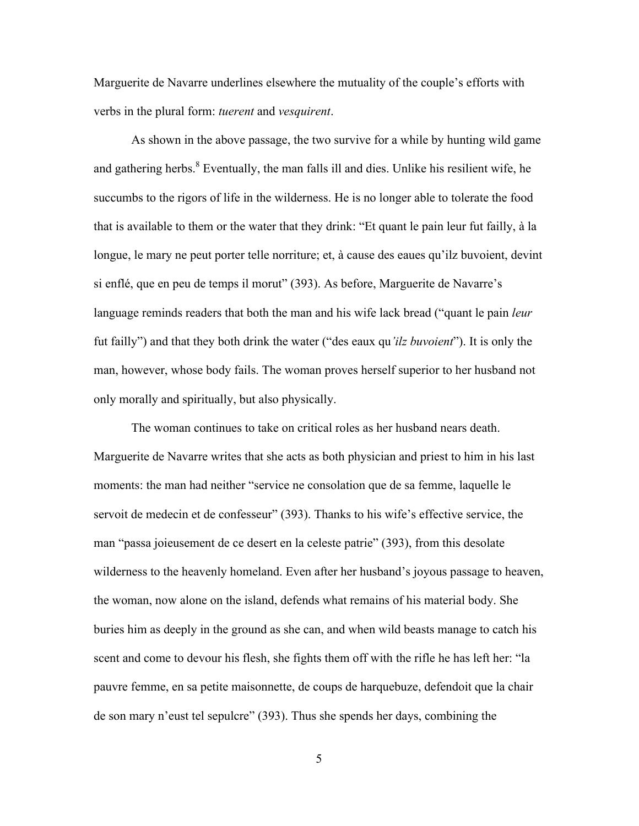Marguerite de Navarre underlines elsewhere the mutuality of the couple's efforts with verbs in the plural form: *tuerent* and *vesquirent*.

As shown in the above passage, the two survive for a while by hunting wild game and gathering herbs.<sup>8</sup> Eventually, the man falls ill and dies. Unlike his resilient wife, he succumbs to the rigors of life in the wilderness. He is no longer able to tolerate the food that is available to them or the water that they drink: "Et quant le pain leur fut failly, à la longue, le mary ne peut porter telle norriture; et, à cause des eaues qu'ilz buvoient, devint si enflé, que en peu de temps il morut" (393). As before, Marguerite de Navarre's language reminds readers that both the man and his wife lack bread ("quant le pain *leur* fut failly") and that they both drink the water ("des eaux qu*'ilz buvoient*"). It is only the man, however, whose body fails. The woman proves herself superior to her husband not only morally and spiritually, but also physically.

The woman continues to take on critical roles as her husband nears death. Marguerite de Navarre writes that she acts as both physician and priest to him in his last moments: the man had neither "service ne consolation que de sa femme, laquelle le servoit de medecin et de confesseur" (393). Thanks to his wife's effective service, the man "passa joieusement de ce desert en la celeste patrie" (393), from this desolate wilderness to the heavenly homeland. Even after her husband's joyous passage to heaven, the woman, now alone on the island, defends what remains of his material body. She buries him as deeply in the ground as she can, and when wild beasts manage to catch his scent and come to devour his flesh, she fights them off with the rifle he has left her: "la pauvre femme, en sa petite maisonnette, de coups de harquebuze, defendoit que la chair de son mary n'eust tel sepulcre" (393). Thus she spends her days, combining the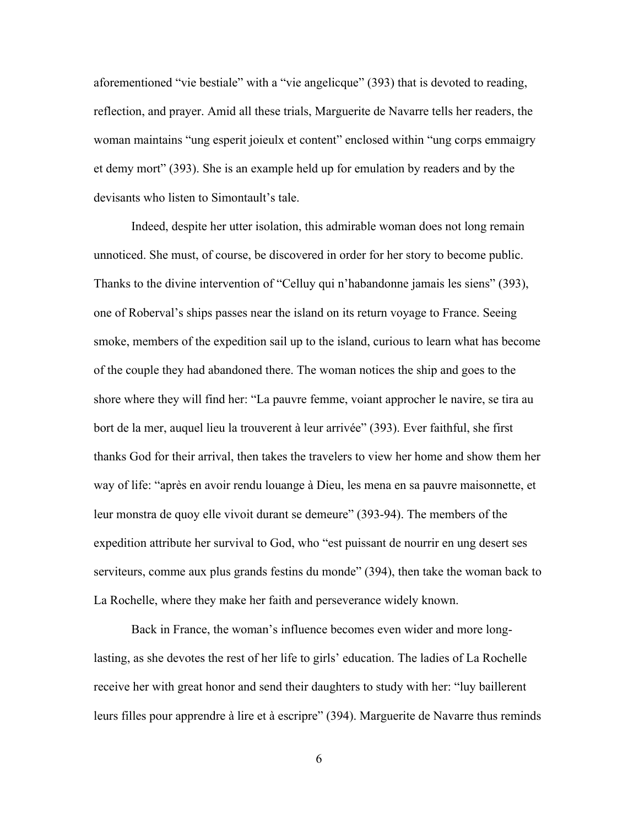aforementioned "vie bestiale" with a "vie angelicque" (393) that is devoted to reading, reflection, and prayer. Amid all these trials, Marguerite de Navarre tells her readers, the woman maintains "ung esperit joieulx et content" enclosed within "ung corps emmaigry et demy mort" (393). She is an example held up for emulation by readers and by the devisants who listen to Simontault's tale.

Indeed, despite her utter isolation, this admirable woman does not long remain unnoticed. She must, of course, be discovered in order for her story to become public. Thanks to the divine intervention of "Celluy qui n'habandonne jamais les siens" (393), one of Roberval's ships passes near the island on its return voyage to France. Seeing smoke, members of the expedition sail up to the island, curious to learn what has become of the couple they had abandoned there. The woman notices the ship and goes to the shore where they will find her: "La pauvre femme, voiant approcher le navire, se tira au bort de la mer, auquel lieu la trouverent à leur arrivée" (393). Ever faithful, she first thanks God for their arrival, then takes the travelers to view her home and show them her way of life: "après en avoir rendu louange à Dieu, les mena en sa pauvre maisonnette, et leur monstra de quoy elle vivoit durant se demeure" (393-94). The members of the expedition attribute her survival to God, who "est puissant de nourrir en ung desert ses serviteurs, comme aux plus grands festins du monde" (394), then take the woman back to La Rochelle, where they make her faith and perseverance widely known.

Back in France, the woman's influence becomes even wider and more longlasting, as she devotes the rest of her life to girls' education. The ladies of La Rochelle receive her with great honor and send their daughters to study with her: "luy baillerent leurs filles pour apprendre à lire et à escripre" (394). Marguerite de Navarre thus reminds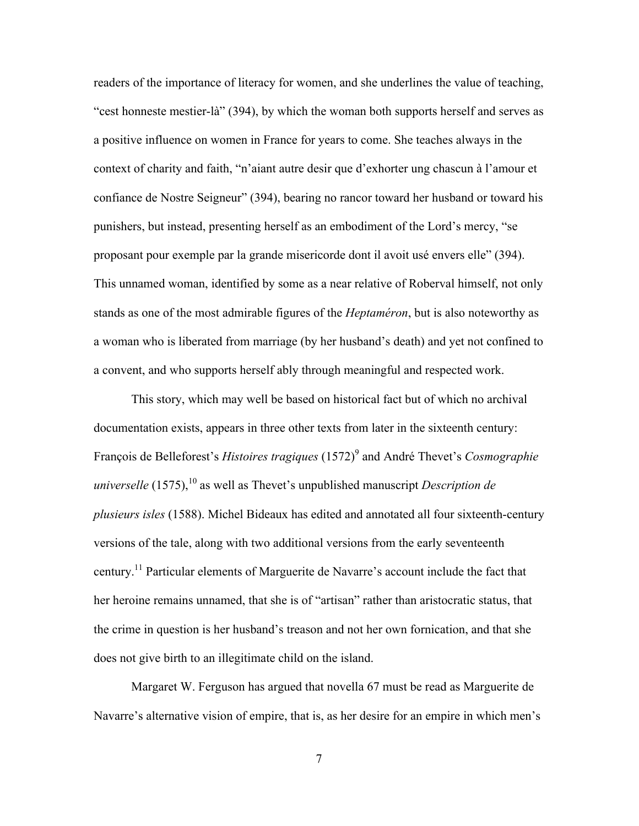readers of the importance of literacy for women, and she underlines the value of teaching, "cest honneste mestier-là" (394), by which the woman both supports herself and serves as a positive influence on women in France for years to come. She teaches always in the context of charity and faith, "n'aiant autre desir que d'exhorter ung chascun à l'amour et confiance de Nostre Seigneur" (394), bearing no rancor toward her husband or toward his punishers, but instead, presenting herself as an embodiment of the Lord's mercy, "se proposant pour exemple par la grande misericorde dont il avoit usé envers elle" (394). This unnamed woman, identified by some as a near relative of Roberval himself, not only stands as one of the most admirable figures of the *Heptaméron*, but is also noteworthy as a woman who is liberated from marriage (by her husband's death) and yet not confined to a convent, and who supports herself ably through meaningful and respected work.

This story, which may well be based on historical fact but of which no archival documentation exists, appears in three other texts from later in the sixteenth century: François de Belleforest's *Histoires tragiques* (1572)<sup>9</sup> and André Thevet's *Cosmographie universelle* (1575), <sup>10</sup> as well as Thevet's unpublished manuscript *Description de plusieurs isles* (1588). Michel Bideaux has edited and annotated all four sixteenth-century versions of the tale, along with two additional versions from the early seventeenth century.11 Particular elements of Marguerite de Navarre's account include the fact that her heroine remains unnamed, that she is of "artisan" rather than aristocratic status, that the crime in question is her husband's treason and not her own fornication, and that she does not give birth to an illegitimate child on the island.

Margaret W. Ferguson has argued that novella 67 must be read as Marguerite de Navarre's alternative vision of empire, that is, as her desire for an empire in which men's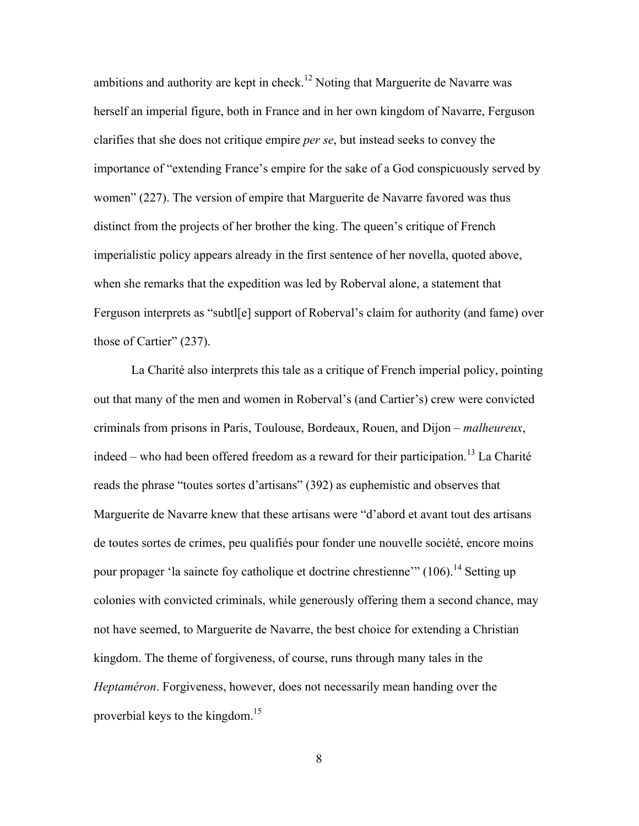ambitions and authority are kept in check.<sup>12</sup> Noting that Marguerite de Navarre was herself an imperial figure, both in France and in her own kingdom of Navarre, Ferguson clarifies that she does not critique empire *per se*, but instead seeks to convey the importance of "extending France's empire for the sake of a God conspicuously served by women" (227). The version of empire that Marguerite de Navarre favored was thus distinct from the projects of her brother the king. The queen's critique of French imperialistic policy appears already in the first sentence of her novella, quoted above, when she remarks that the expedition was led by Roberval alone, a statement that Ferguson interprets as "subtl[e] support of Roberval's claim for authority (and fame) over those of Cartier" (237).

La Charité also interprets this tale as a critique of French imperial policy, pointing out that many of the men and women in Roberval's (and Cartier's) crew were convicted criminals from prisons in Paris, Toulouse, Bordeaux, Rouen, and Dijon – *malheureux*, indeed – who had been offered freedom as a reward for their participation.<sup>13</sup> La Charité reads the phrase "toutes sortes d'artisans" (392) as euphemistic and observes that Marguerite de Navarre knew that these artisans were "d'abord et avant tout des artisans de toutes sortes de crimes, peu qualifiés pour fonder une nouvelle société, encore moins pour propager 'la saincte foy catholique et doctrine chrestienne'" (106).<sup>14</sup> Setting up colonies with convicted criminals, while generously offering them a second chance, may not have seemed, to Marguerite de Navarre, the best choice for extending a Christian kingdom. The theme of forgiveness, of course, runs through many tales in the *Heptaméron*. Forgiveness, however, does not necessarily mean handing over the proverbial keys to the kingdom.15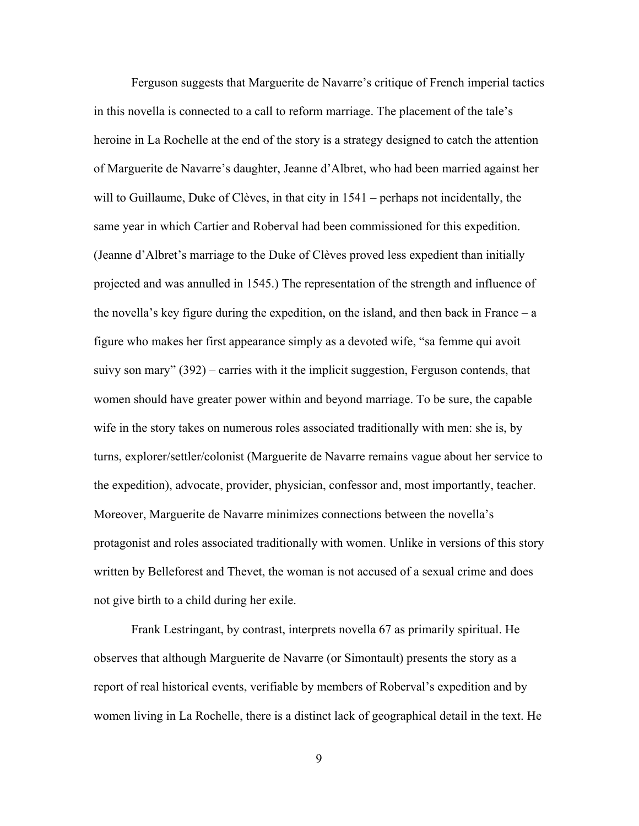Ferguson suggests that Marguerite de Navarre's critique of French imperial tactics in this novella is connected to a call to reform marriage. The placement of the tale's heroine in La Rochelle at the end of the story is a strategy designed to catch the attention of Marguerite de Navarre's daughter, Jeanne d'Albret, who had been married against her will to Guillaume, Duke of Clèves, in that city in 1541 – perhaps not incidentally, the same year in which Cartier and Roberval had been commissioned for this expedition. (Jeanne d'Albret's marriage to the Duke of Clèves proved less expedient than initially projected and was annulled in 1545.) The representation of the strength and influence of the novella's key figure during the expedition, on the island, and then back in France – a figure who makes her first appearance simply as a devoted wife, "sa femme qui avoit suivy son mary" (392) – carries with it the implicit suggestion, Ferguson contends, that women should have greater power within and beyond marriage. To be sure, the capable wife in the story takes on numerous roles associated traditionally with men: she is, by turns, explorer/settler/colonist (Marguerite de Navarre remains vague about her service to the expedition), advocate, provider, physician, confessor and, most importantly, teacher. Moreover, Marguerite de Navarre minimizes connections between the novella's protagonist and roles associated traditionally with women. Unlike in versions of this story written by Belleforest and Thevet, the woman is not accused of a sexual crime and does not give birth to a child during her exile.

Frank Lestringant, by contrast, interprets novella 67 as primarily spiritual. He observes that although Marguerite de Navarre (or Simontault) presents the story as a report of real historical events, verifiable by members of Roberval's expedition and by women living in La Rochelle, there is a distinct lack of geographical detail in the text. He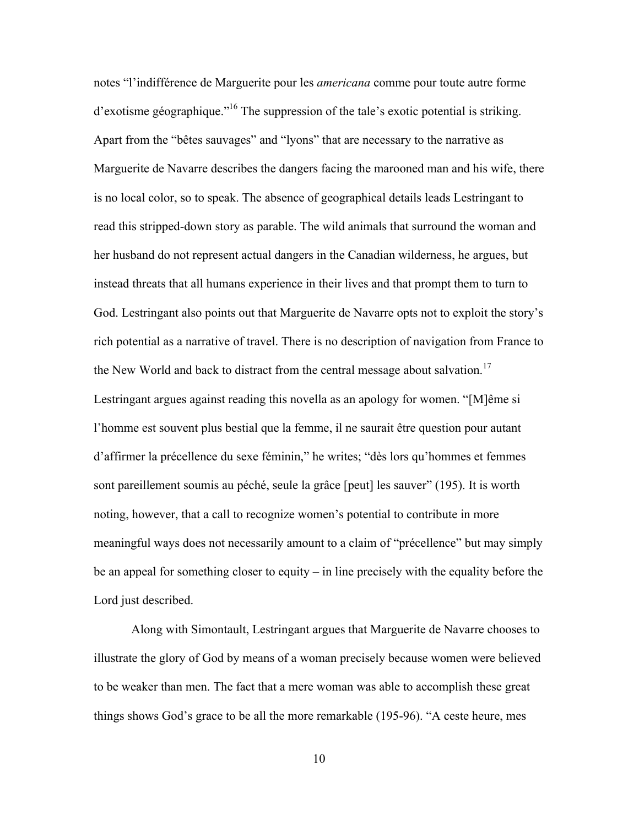notes "l'indifférence de Marguerite pour les *americana* comme pour toute autre forme d'exotisme géographique."<sup>16</sup> The suppression of the tale's exotic potential is striking. Apart from the "bêtes sauvages" and "lyons" that are necessary to the narrative as Marguerite de Navarre describes the dangers facing the marooned man and his wife, there is no local color, so to speak. The absence of geographical details leads Lestringant to read this stripped-down story as parable. The wild animals that surround the woman and her husband do not represent actual dangers in the Canadian wilderness, he argues, but instead threats that all humans experience in their lives and that prompt them to turn to God. Lestringant also points out that Marguerite de Navarre opts not to exploit the story's rich potential as a narrative of travel. There is no description of navigation from France to the New World and back to distract from the central message about salvation.<sup>17</sup> Lestringant argues against reading this novella as an apology for women. "[M]ême si l'homme est souvent plus bestial que la femme, il ne saurait être question pour autant d'affirmer la précellence du sexe féminin," he writes; "dès lors qu'hommes et femmes sont pareillement soumis au péché, seule la grâce [peut] les sauver" (195). It is worth noting, however, that a call to recognize women's potential to contribute in more meaningful ways does not necessarily amount to a claim of "précellence" but may simply be an appeal for something closer to equity – in line precisely with the equality before the Lord just described.

Along with Simontault, Lestringant argues that Marguerite de Navarre chooses to illustrate the glory of God by means of a woman precisely because women were believed to be weaker than men. The fact that a mere woman was able to accomplish these great things shows God's grace to be all the more remarkable (195-96). "A ceste heure, mes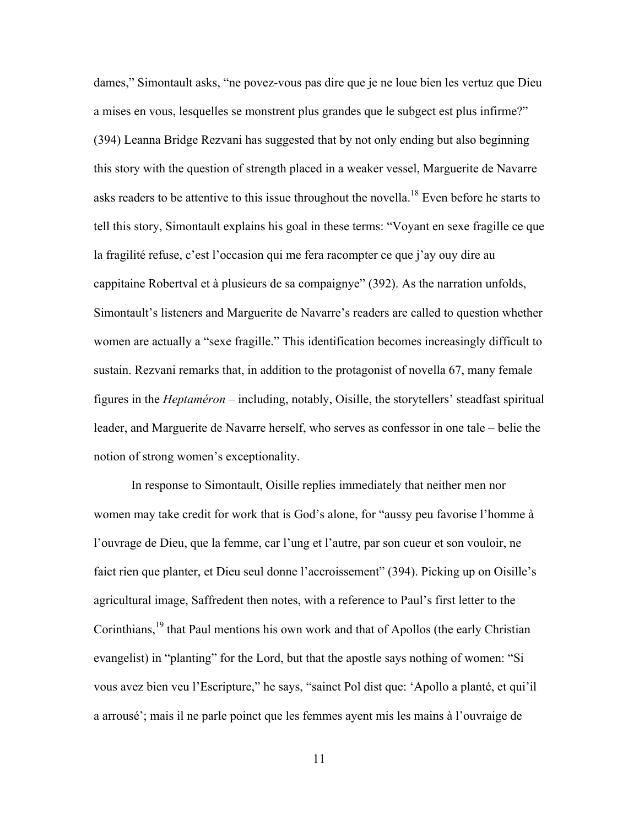dames," Simontault asks, "ne povez-vous pas dire que je ne loue bien les vertuz que Dieu a mises en vous, lesquelles se monstrent plus grandes que le subgect est plus infirme?" (394) Leanna Bridge Rezvani has suggested that by not only ending but also beginning this story with the question of strength placed in a weaker vessel, Marguerite de Navarre asks readers to be attentive to this issue throughout the novella.<sup>18</sup> Even before he starts to tell this story, Simontault explains his goal in these terms: "Voyant en sexe fragille ce que la fragilité refuse, c'est l'occasion qui me fera racompter ce que j'ay ouy dire au cappitaine Robertval et à plusieurs de sa compaignye" (392). As the narration unfolds, Simontault's listeners and Marguerite de Navarre's readers are called to question whether women are actually a "sexe fragille." This identification becomes increasingly difficult to sustain. Rezvani remarks that, in addition to the protagonist of novella 67, many female figures in the *Heptaméron –* including, notably, Oisille, the storytellers' steadfast spiritual leader, and Marguerite de Navarre herself, who serves as confessor in one tale – belie the notion of strong women's exceptionality.

In response to Simontault, Oisille replies immediately that neither men nor women may take credit for work that is God's alone, for "aussy peu favorise l'homme à l'ouvrage de Dieu, que la femme, car l'ung et l'autre, par son cueur et son vouloir, ne faict rien que planter, et Dieu seul donne l'accroissement" (394). Picking up on Oisille's agricultural image, Saffredent then notes, with a reference to Paul's first letter to the Corinthians,<sup>19</sup> that Paul mentions his own work and that of Apollos (the early Christian evangelist) in "planting" for the Lord, but that the apostle says nothing of women: "Si vous avez bien veu l'Escripture," he says, "sainct Pol dist que: 'Apollo a planté, et qui'il a arrousé'; mais il ne parle poinct que les femmes ayent mis les mains à l'ouvraige de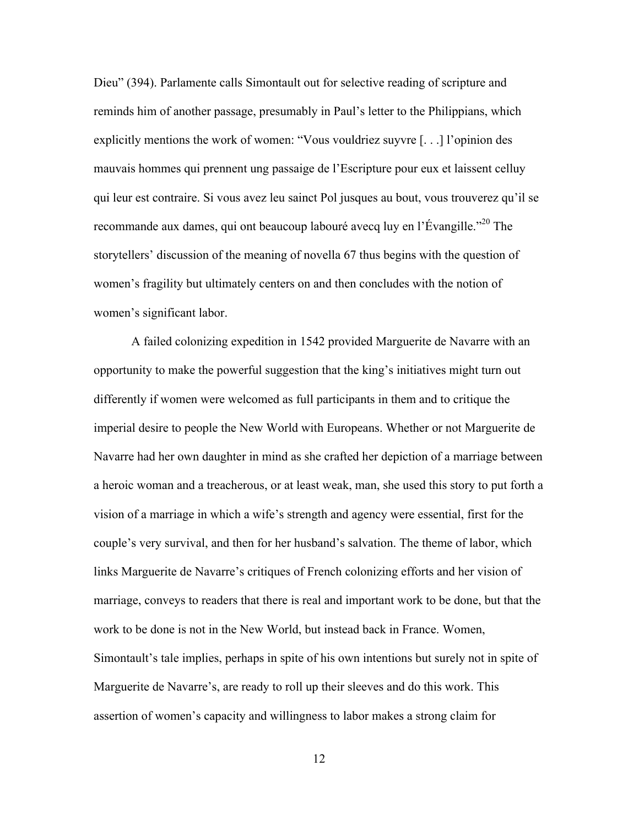Dieu" (394). Parlamente calls Simontault out for selective reading of scripture and reminds him of another passage, presumably in Paul's letter to the Philippians, which explicitly mentions the work of women: "Vous vouldriez suyvre [. . .] l'opinion des mauvais hommes qui prennent ung passaige de l'Escripture pour eux et laissent celluy qui leur est contraire. Si vous avez leu sainct Pol jusques au bout, vous trouverez qu'il se recommande aux dames, qui ont beaucoup labouré avecq luy en l'Évangille.<sup>220</sup> The storytellers' discussion of the meaning of novella 67 thus begins with the question of women's fragility but ultimately centers on and then concludes with the notion of women's significant labor.

A failed colonizing expedition in 1542 provided Marguerite de Navarre with an opportunity to make the powerful suggestion that the king's initiatives might turn out differently if women were welcomed as full participants in them and to critique the imperial desire to people the New World with Europeans. Whether or not Marguerite de Navarre had her own daughter in mind as she crafted her depiction of a marriage between a heroic woman and a treacherous, or at least weak, man, she used this story to put forth a vision of a marriage in which a wife's strength and agency were essential, first for the couple's very survival, and then for her husband's salvation. The theme of labor, which links Marguerite de Navarre's critiques of French colonizing efforts and her vision of marriage, conveys to readers that there is real and important work to be done, but that the work to be done is not in the New World, but instead back in France. Women, Simontault's tale implies, perhaps in spite of his own intentions but surely not in spite of Marguerite de Navarre's, are ready to roll up their sleeves and do this work. This assertion of women's capacity and willingness to labor makes a strong claim for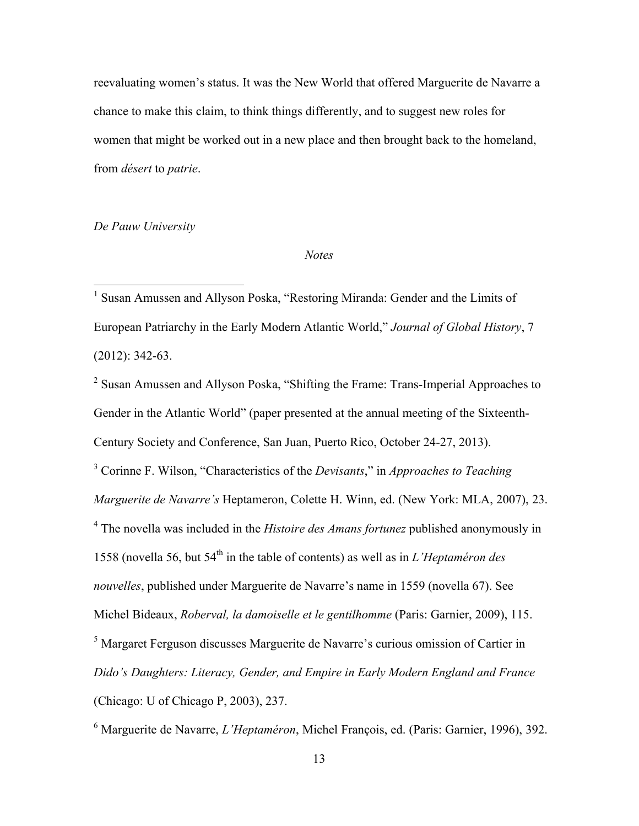reevaluating women's status. It was the New World that offered Marguerite de Navarre a chance to make this claim, to think things differently, and to suggest new roles for women that might be worked out in a new place and then brought back to the homeland, from *désert* to *patrie*.

*De Pauw University*

#### *Notes*

<sup>1</sup> Susan Amussen and Allyson Poska, "Restoring Miranda: Gender and the Limits of European Patriarchy in the Early Modern Atlantic World," *Journal of Global History*, 7 (2012): 342-63.

<sup>2</sup> Susan Amussen and Allyson Poska, "Shifting the Frame: Trans-Imperial Approaches to Gender in the Atlantic World" (paper presented at the annual meeting of the Sixteenth-Century Society and Conference, San Juan, Puerto Rico, October 24-27, 2013). <sup>3</sup> Corinne F. Wilson, "Characteristics of the *Devisants*," in *Approaches to Teaching Marguerite de Navarre's* Heptameron, Colette H. Winn, ed. (New York: MLA, 2007), 23. <sup>4</sup> The novella was included in the *Histoire des Amans fortunez* published anonymously in 1558 (novella 56, but 54th in the table of contents) as well as in *L'Heptaméron des nouvelles*, published under Marguerite de Navarre's name in 1559 (novella 67). See Michel Bideaux, *Roberval, la damoiselle et le gentilhomme* (Paris: Garnier, 2009), 115. <sup>5</sup> Margaret Ferguson discusses Marguerite de Navarre's curious omission of Cartier in *Dido's Daughters: Literacy, Gender, and Empire in Early Modern England and France* (Chicago: U of Chicago P, 2003), 237.

<sup>6</sup> Marguerite de Navarre, *L'Heptaméron*, Michel François, ed. (Paris: Garnier, 1996), 392.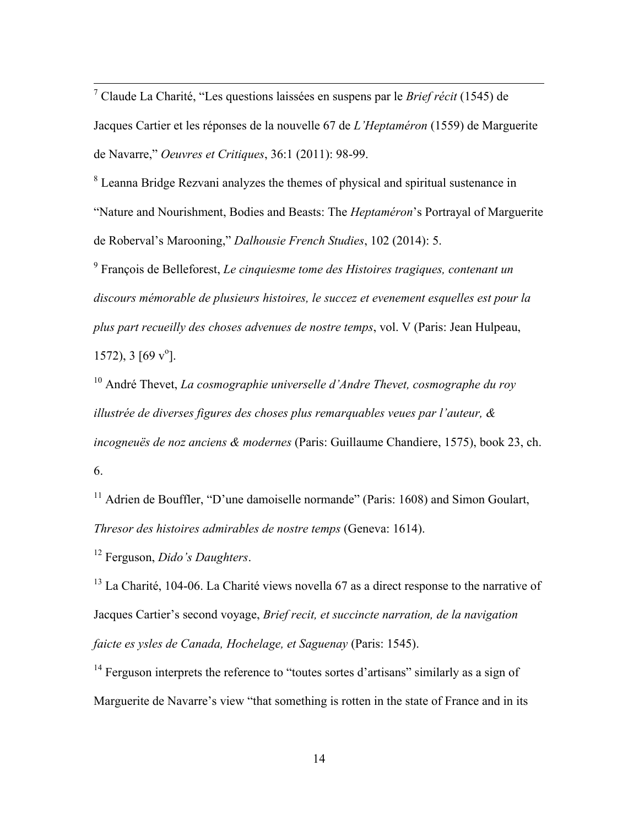7 Claude La Charité, "Les questions laissées en suspens par le *Brief récit* (1545) de Jacques Cartier et les réponses de la nouvelle 67 de *L'Heptaméron* (1559) de Marguerite de Navarre," *Oeuvres et Critiques*, 36:1 (2011): 98-99.

<sup>8</sup> Leanna Bridge Rezvani analyzes the themes of physical and spiritual sustenance in "Nature and Nourishment, Bodies and Beasts: The *Heptaméron*'s Portrayal of Marguerite de Roberval's Marooning," *Dalhousie French Studies*, 102 (2014): 5.

<sup>9</sup> François de Belleforest, *Le cinquiesme tome des Histoires tragiques, contenant un discours mémorable de plusieurs histoires, le succez et evenement esquelles est pour la plus part recueilly des choses advenues de nostre temps*, vol. V (Paris: Jean Hulpeau, 1572), 3  $[69 \text{ v}^{\circ}].$ 

<sup>10</sup> André Thevet, *La cosmographie universelle d'Andre Thevet, cosmographe du roy illustrée de diverses figures des choses plus remarquables veues par l'auteur, & incogneuës de noz anciens & modernes* (Paris: Guillaume Chandiere, 1575), book 23, ch. 6.

<sup>11</sup> Adrien de Bouffler, "D'une damoiselle normande" (Paris: 1608) and Simon Goulart, *Thresor des histoires admirables de nostre temps* (Geneva: 1614).

<sup>12</sup> Ferguson, *Dido's Daughters*.

 $13$  La Charité, 104-06. La Charité views novella 67 as a direct response to the narrative of Jacques Cartier's second voyage, *Brief recit, et succincte narration, de la navigation faicte es ysles de Canada, Hochelage, et Saguenay* (Paris: 1545).

<sup>14</sup> Ferguson interprets the reference to "toutes sortes d'artisans" similarly as a sign of Marguerite de Navarre's view "that something is rotten in the state of France and in its